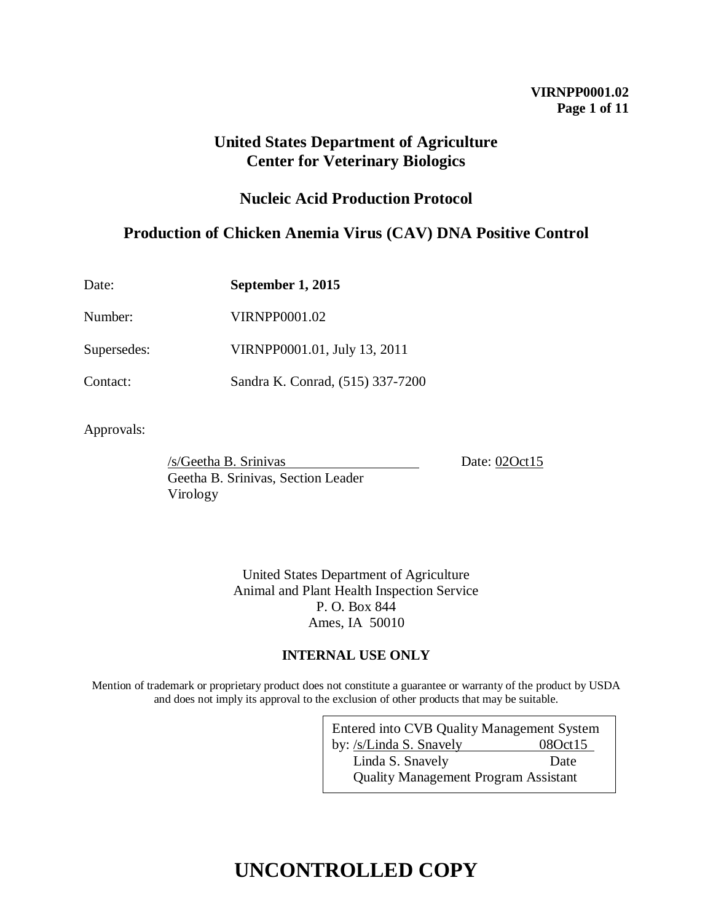## **VIRNPP0001.02 Page 1 of 11**

## **United States Department of Agriculture Center for Veterinary Biologics**

## **Nucleic Acid Production Protocol**

## **Production of Chicken Anemia Virus (CAV) DNA Positive Control**

| Date:       | September 1, 2015                |
|-------------|----------------------------------|
| Number:     | <b>VIRNPP0001.02</b>             |
| Supersedes: | VIRNPP0001.01, July 13, 2011     |
| Contact:    | Sandra K. Conrad, (515) 337-7200 |

Approvals:

/s/Geetha B. Srinivas Date: 020ct15 Geetha B. Srinivas, Section Leader Virology

United States Department of Agriculture Animal and Plant Health Inspection Service P. O. Box 844 Ames, IA 50010

## **INTERNAL USE ONLY**

Mention of trademark or proprietary product does not constitute a guarantee or warranty of the product by USDA and does not imply its approval to the exclusion of other products that may be suitable.

| Entered into CVB Quality Management System  |         |  |  |
|---------------------------------------------|---------|--|--|
| by: /s/Linda S. Snavely                     | 080ct15 |  |  |
| Linda S. Snavely                            | Date    |  |  |
| <b>Quality Management Program Assistant</b> |         |  |  |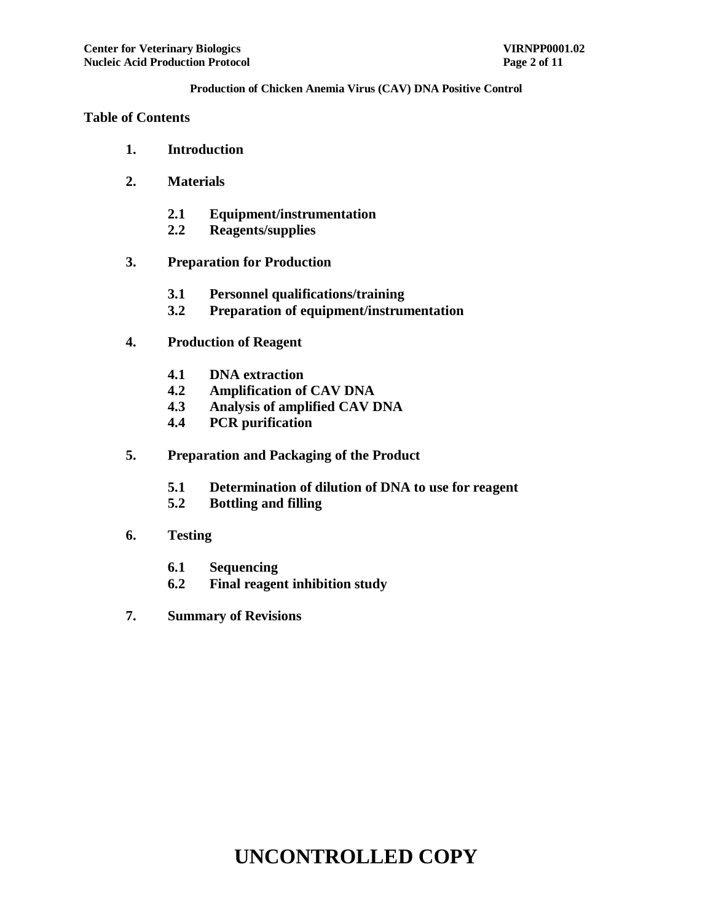#### **Table of Contents**

- **1. Introduction**
- **2. Materials**
	- **2.1 Equipment/instrumentation**
	- **2.2 Reagents/supplies**
- **3. Preparation for Production**
	- **3.1 Personnel qualifications/training**
	- **3.2 Preparation of equipment/instrumentation**
- **4. Production of Reagent**
	- **4.1 DNA extraction**
	- **4.2 Amplification of CAV DNA**
	- **4.3 Analysis of amplified CAV DNA**
	- **4.4 PCR purification**
- **5. Preparation and Packaging of the Product**
	- **5.1 Determination of dilution of DNA to use for reagent**
	- **5.2 Bottling and filling**
- **6. Testing**
	- **6.1 Sequencing**
	- **6.2 Final reagent inhibition study**
- **7. Summary of Revisions**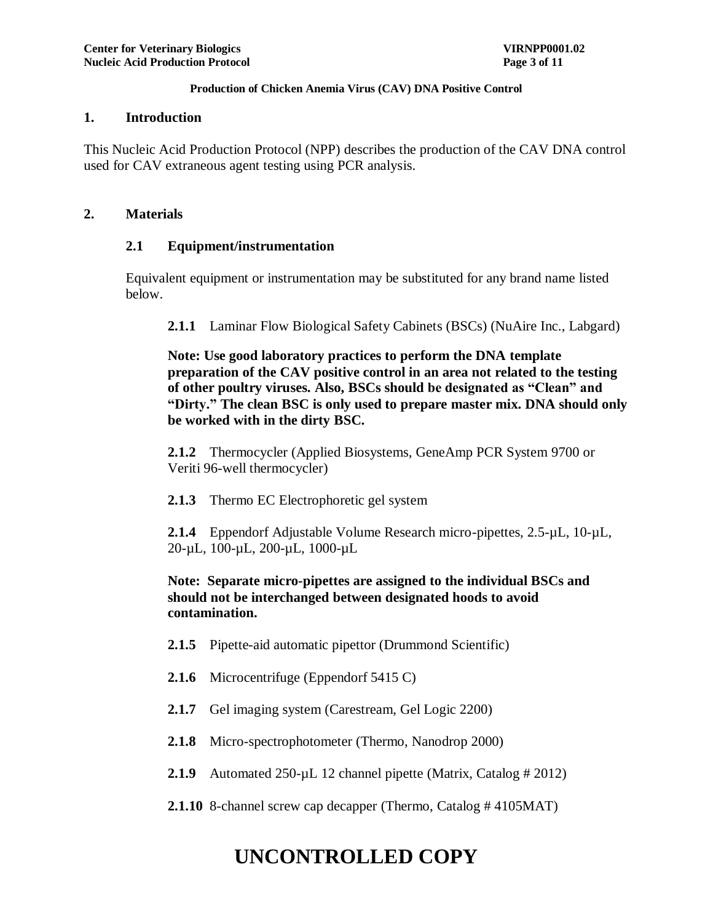#### **1. Introduction**

This Nucleic Acid Production Protocol (NPP) describes the production of the CAV DNA control used for CAV extraneous agent testing using PCR analysis.

### **2. Materials**

### **2.1 Equipment/instrumentation**

Equivalent equipment or instrumentation may be substituted for any brand name listed below.

**2.1.1** Laminar Flow Biological Safety Cabinets (BSCs) (NuAire Inc., Labgard)

**Note: Use good laboratory practices to perform the DNA template preparation of the CAV positive control in an area not related to the testing of other poultry viruses. Also, BSCs should be designated as "Clean" and "Dirty." The clean BSC is only used to prepare master mix. DNA should only be worked with in the dirty BSC.**

**2.1.2** Thermocycler (Applied Biosystems, GeneAmp PCR System 9700 or Veriti 96-well thermocycler)

**2.1.3** Thermo EC Electrophoretic gel system

**2.1.4** Eppendorf Adjustable Volume Research micro-pipettes, 2.5-µL, 10-µL, 20-µL, 100-µL, 200-µL, 1000-µL

**Note: Separate micro-pipettes are assigned to the individual BSCs and should not be interchanged between designated hoods to avoid contamination.**

- **2.1.5** Pipette-aid automatic pipettor (Drummond Scientific)
- **2.1.6** Microcentrifuge (Eppendorf 5415 C)
- **2.1.7** Gel imaging system (Carestream, Gel Logic 2200)
- **2.1.8** Micro-spectrophotometer (Thermo, Nanodrop 2000)
- 2.1.9 Automated 250-µL 12 channel pipette (Matrix, Catalog # 2012)
- **2.1.10** 8-channel screw cap decapper (Thermo, Catalog # 4105MAT)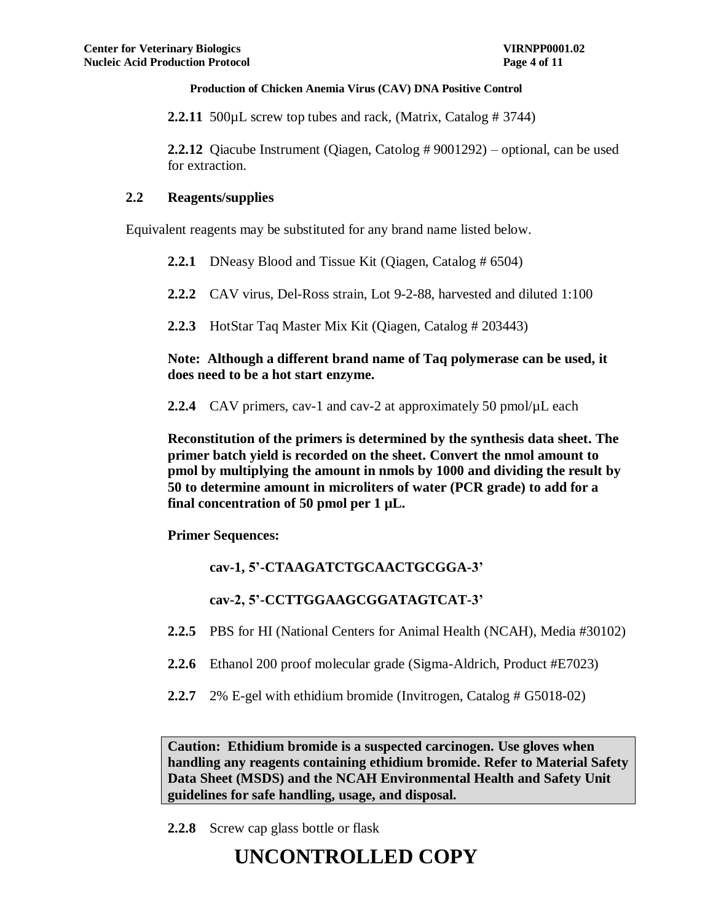**2.2.11** 500µL screw top tubes and rack, (Matrix, Catalog # 3744)

**2.2.12** Qiacube Instrument (Qiagen, Catolog # 9001292) – optional, can be used for extraction.

## **2.2 Reagents/supplies**

Equivalent reagents may be substituted for any brand name listed below.

**2.2.1** DNeasy Blood and Tissue Kit (Qiagen, Catalog # 6504)

**2.2.2** CAV virus, Del-Ross strain, Lot 9-2-88, harvested and diluted 1:100

**2.2.3** HotStar Taq Master Mix Kit (Qiagen, Catalog # 203443)

**Note: Although a different brand name of Taq polymerase can be used, it does need to be a hot start enzyme.**

**2.2.4** CAV primers, cav-1 and cav-2 at approximately 50 pmol/ $\mu$ L each

**Reconstitution of the primers is determined by the synthesis data sheet. The primer batch yield is recorded on the sheet. Convert the nmol amount to pmol by multiplying the amount in nmols by 1000 and dividing the result by 50 to determine amount in microliters of water (PCR grade) to add for a final concentration of 50 pmol per 1 µL.** 

**Primer Sequences:**

**cav-1, 5'-CTAAGATCTGCAACTGCGGA-3'**

**cav-2, 5'-CCTTGGAAGCGGATAGTCAT-3'**

- **2.2.5** PBS for HI (National Centers for Animal Health (NCAH), Media #30102)
- **2.2.6** Ethanol 200 proof molecular grade (Sigma-Aldrich, Product #E7023)
- **2.2.7** 2% E-gel with ethidium bromide (Invitrogen, Catalog # G5018-02)

**Caution: Ethidium bromide is a suspected carcinogen. Use gloves when handling any reagents containing ethidium bromide. Refer to Material Safety Data Sheet (MSDS) and the NCAH Environmental Health and Safety Unit guidelines for safe handling, usage, and disposal.**

**2.2.8** Screw cap glass bottle or flask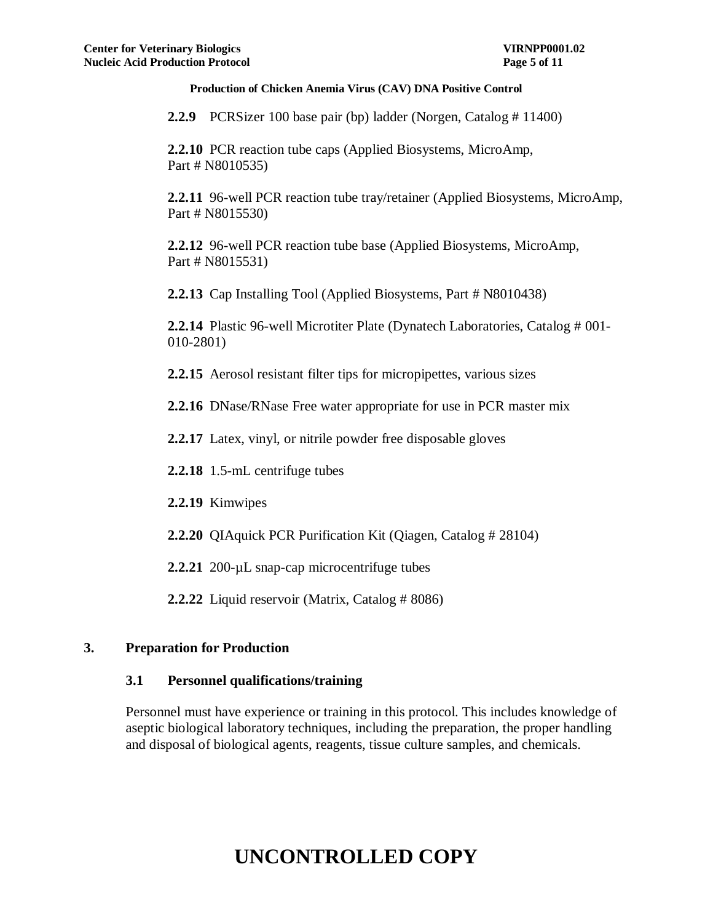**2.2.9** PCRSizer 100 base pair (bp) ladder (Norgen, Catalog # 11400)

**2.2.10** PCR reaction tube caps (Applied Biosystems, MicroAmp, Part # N8010535)

**2.2.11** 96-well PCR reaction tube tray/retainer (Applied Biosystems, MicroAmp, Part # N8015530)

**2.2.12** 96-well PCR reaction tube base (Applied Biosystems, MicroAmp, Part # N8015531)

**2.2.13** Cap Installing Tool (Applied Biosystems, Part # N8010438)

**2.2.14** Plastic 96-well Microtiter Plate (Dynatech Laboratories, Catalog # 001- 010-2801)

**2.2.15** Aerosol resistant filter tips for micropipettes, various sizes

**2.2.16** DNase/RNase Free water appropriate for use in PCR master mix

**2.2.17** Latex, vinyl, or nitrile powder free disposable gloves

**2.2.18** 1.5-mL centrifuge tubes

**2.2.19** Kimwipes

- **2.2.20** QIAquick PCR Purification Kit (Qiagen, Catalog # 28104)
- 2.2.21 200-µL snap-cap microcentrifuge tubes

**2.2.22** Liquid reservoir (Matrix, Catalog # 8086)

### **3. Preparation for Production**

#### **3.1 Personnel qualifications/training**

Personnel must have experience or training in this protocol. This includes knowledge of aseptic biological laboratory techniques, including the preparation, the proper handling and disposal of biological agents, reagents, tissue culture samples, and chemicals.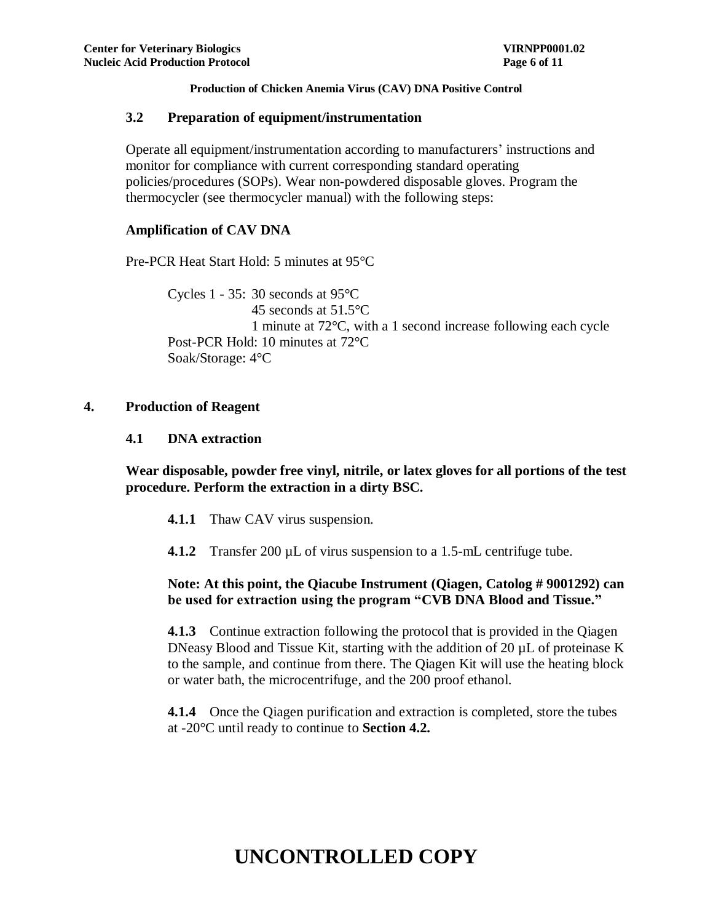### **3.2 Preparation of equipment/instrumentation**

Operate all equipment/instrumentation according to manufacturers' instructions and monitor for compliance with current corresponding standard operating policies/procedures (SOPs). Wear non-powdered disposable gloves. Program the thermocycler (see thermocycler manual) with the following steps:

### **Amplification of CAV DNA**

Pre-PCR Heat Start Hold: 5 minutes at 95°C

Cycles 1 - 35: 30 seconds at 95°C 45 seconds at 51.5°C 1 minute at 72°C, with a 1 second increase following each cycle Post-PCR Hold: 10 minutes at 72°C Soak/Storage: 4°C

### **4. Production of Reagent**

**4.1 DNA extraction**

**Wear disposable, powder free vinyl, nitrile, or latex gloves for all portions of the test procedure. Perform the extraction in a dirty BSC.**

- **4.1.1** Thaw CAV virus suspension.
- **4.1.2** Transfer 200 µL of virus suspension to a 1.5-mL centrifuge tube.

## **Note: At this point, the Qiacube Instrument (Qiagen, Catolog # 9001292) can be used for extraction using the program "CVB DNA Blood and Tissue."**

**4.1.3** Continue extraction following the protocol that is provided in the Qiagen DNeasy Blood and Tissue Kit, starting with the addition of 20 µL of proteinase K to the sample, and continue from there. The Qiagen Kit will use the heating block or water bath, the microcentrifuge, and the 200 proof ethanol.

**4.1.4** Once the Qiagen purification and extraction is completed, store the tubes at -20°C until ready to continue to **Section 4.2.**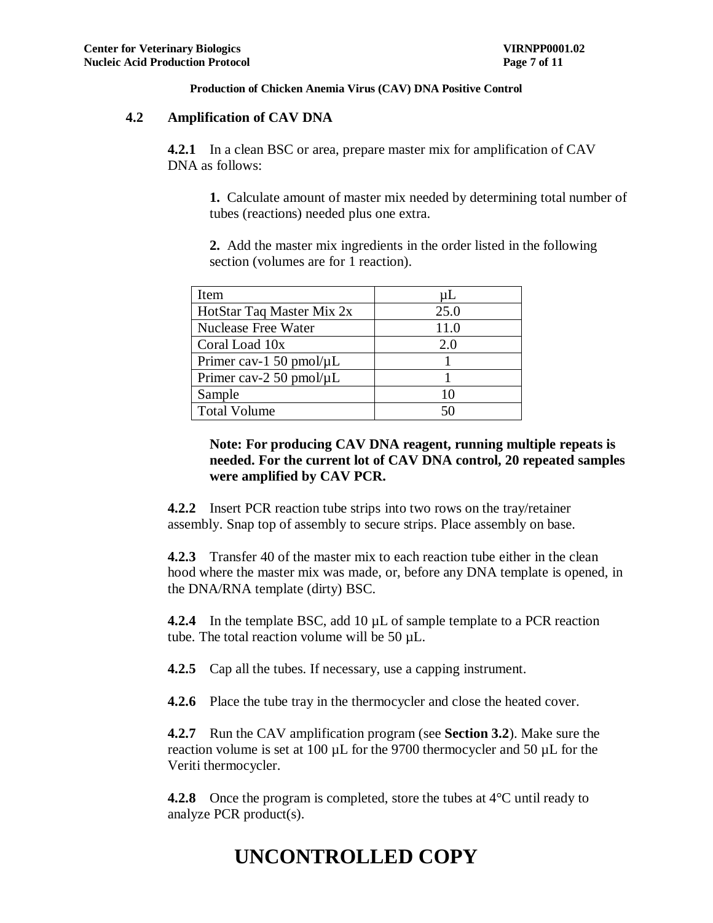### **4.2 Amplification of CAV DNA**

**4.2.1** In a clean BSC or area, prepare master mix for amplification of CAV DNA as follows:

**1.** Calculate amount of master mix needed by determining total number of tubes (reactions) needed plus one extra.

**2.** Add the master mix ingredients in the order listed in the following section (volumes are for 1 reaction).

| Item                          | uL   |
|-------------------------------|------|
| HotStar Taq Master Mix 2x     | 25.0 |
| Nuclease Free Water           | 11.0 |
| Coral Load 10x                | 2.0  |
| Primer cav-1 50 pmol/ $\mu$ L |      |
| Primer cav-2 50 pmol/ $\mu$ L |      |
| Sample                        | 10   |
| <b>Total Volume</b>           | 50   |

## **Note: For producing CAV DNA reagent, running multiple repeats is needed. For the current lot of CAV DNA control, 20 repeated samples were amplified by CAV PCR.**

**4.2.2** Insert PCR reaction tube strips into two rows on the tray/retainer assembly. Snap top of assembly to secure strips. Place assembly on base.

**4.2.3** Transfer 40 of the master mix to each reaction tube either in the clean hood where the master mix was made, or, before any DNA template is opened, in the DNA/RNA template (dirty) BSC.

**4.2.4** In the template BSC, add 10 µL of sample template to a PCR reaction tube. The total reaction volume will be 50 µL.

**4.2.5** Cap all the tubes. If necessary, use a capping instrument.

**4.2.6** Place the tube tray in the thermocycler and close the heated cover.

**4.2.7** Run the CAV amplification program (see **Section 3.2**). Make sure the reaction volume is set at 100 µL for the 9700 thermocycler and 50 µL for the Veriti thermocycler.

**4.2.8** Once the program is completed, store the tubes at 4<sup>o</sup>C until ready to analyze PCR product(s).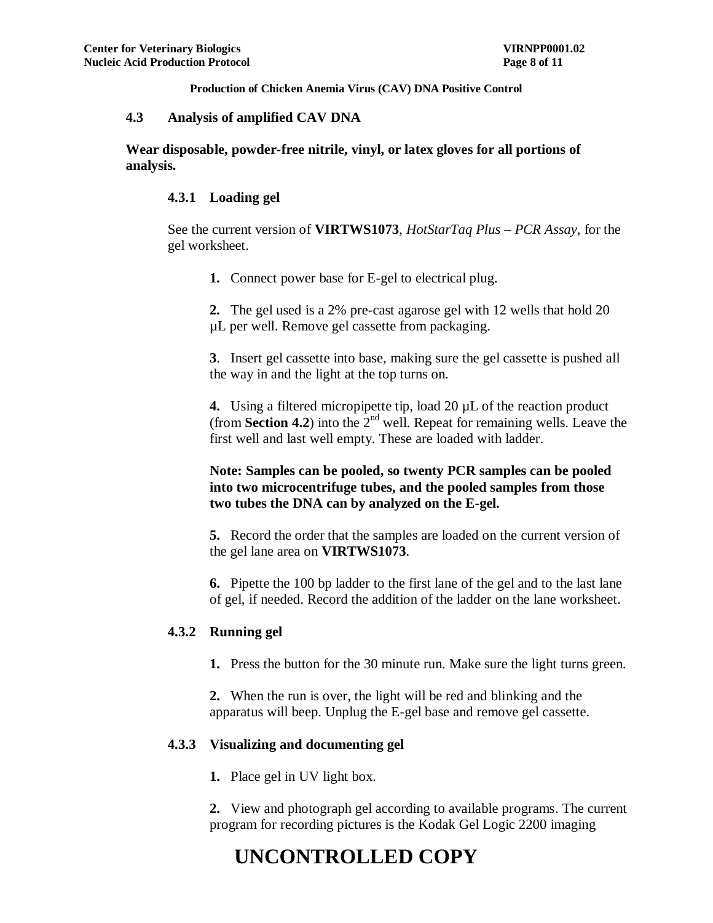#### **4.3 Analysis of amplified CAV DNA**

**Wear disposable, powder-free nitrile, vinyl, or latex gloves for all portions of analysis.**

#### **4.3.1 Loading gel**

See the current version of **VIRTWS1073**, *HotStarTaq Plus – PCR Assay*, for the gel worksheet.

**1.** Connect power base for E-gel to electrical plug.

**2.** The gel used is a 2% pre-cast agarose gel with 12 wells that hold 20 µL per well. Remove gel cassette from packaging.

**3**. Insert gel cassette into base, making sure the gel cassette is pushed all the way in and the light at the top turns on.

**4.** Using a filtered micropipette tip, load 20 µL of the reaction product (from **Section 4.2**) into the  $2<sup>nd</sup>$  well. Repeat for remaining wells. Leave the first well and last well empty. These are loaded with ladder.

### **Note: Samples can be pooled, so twenty PCR samples can be pooled into two microcentrifuge tubes, and the pooled samples from those two tubes the DNA can by analyzed on the E-gel.**

**5.** Record the order that the samples are loaded on the current version of the gel lane area on **VIRTWS1073**.

**6.** Pipette the 100 bp ladder to the first lane of the gel and to the last lane of gel, if needed. Record the addition of the ladder on the lane worksheet.

#### **4.3.2 Running gel**

**1.** Press the button for the 30 minute run. Make sure the light turns green.

**2.** When the run is over, the light will be red and blinking and the apparatus will beep. Unplug the E-gel base and remove gel cassette.

#### **4.3.3 Visualizing and documenting gel**

**1.** Place gel in UV light box.

**2.** View and photograph gel according to available programs. The current program for recording pictures is the Kodak Gel Logic 2200 imaging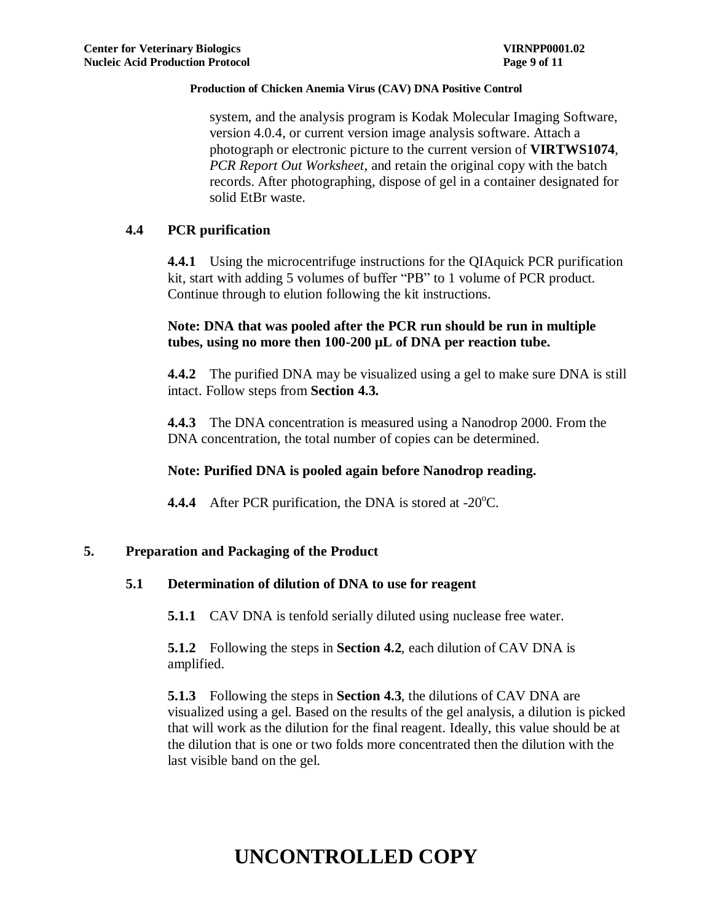system, and the analysis program is Kodak Molecular Imaging Software, version 4.0.4, or current version image analysis software. Attach a photograph or electronic picture to the current version of **VIRTWS1074**, *PCR Report Out Worksheet*, and retain the original copy with the batch records. After photographing, dispose of gel in a container designated for solid EtBr waste.

## **4.4 PCR purification**

**4.4.1** Using the microcentrifuge instructions for the QIAquick PCR purification kit, start with adding 5 volumes of buffer "PB" to 1 volume of PCR product. Continue through to elution following the kit instructions.

## **Note: DNA that was pooled after the PCR run should be run in multiple tubes, using no more then 100-200 µL of DNA per reaction tube.**

**4.4.2** The purified DNA may be visualized using a gel to make sure DNA is still intact. Follow steps from **Section 4.3.**

**4.4.3** The DNA concentration is measured using a Nanodrop 2000. From the DNA concentration, the total number of copies can be determined.

### **Note: Purified DNA is pooled again before Nanodrop reading.**

**4.4.4** After PCR purification, the DNA is stored at -20<sup>o</sup>C.

### **5. Preparation and Packaging of the Product**

### **5.1 Determination of dilution of DNA to use for reagent**

**5.1.1** CAV DNA is tenfold serially diluted using nuclease free water.

**5.1.2** Following the steps in **Section 4.2**, each dilution of CAV DNA is amplified.

**5.1.3** Following the steps in **Section 4.3**, the dilutions of CAV DNA are visualized using a gel. Based on the results of the gel analysis, a dilution is picked that will work as the dilution for the final reagent. Ideally, this value should be at the dilution that is one or two folds more concentrated then the dilution with the last visible band on the gel.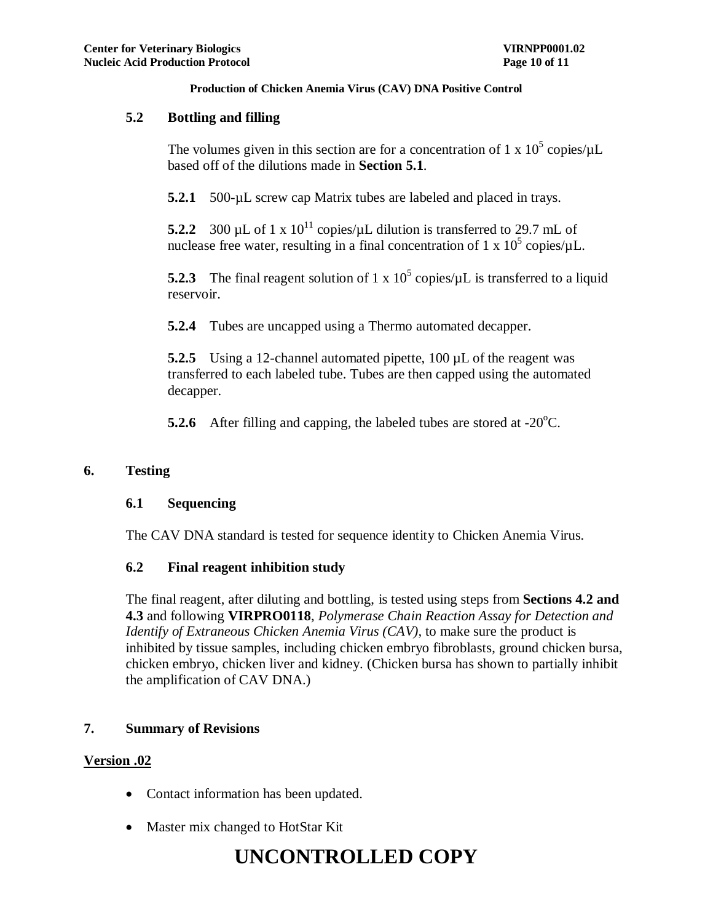## **5.2 Bottling and filling**

The volumes given in this section are for a concentration of 1 x  $10^5$  copies/ $\mu$ L based off of the dilutions made in **Section 5.1**.

**5.2.1** 500-µL screw cap Matrix tubes are labeled and placed in trays.

**5.2.2** 300 µL of 1 x  $10^{11}$  copies/µL dilution is transferred to 29.7 mL of nuclease free water, resulting in a final concentration of 1 x  $10^5$  copies/ $\mu$ L.

**5.2.3** The final reagent solution of 1 x  $10^5$  copies/ $\mu$ L is transferred to a liquid reservoir.

**5.2.4** Tubes are uncapped using a Thermo automated decapper.

**5.2.5** Using a 12-channel automated pipette, 100 µL of the reagent was transferred to each labeled tube. Tubes are then capped using the automated decapper.

**5.2.6** After filling and capping, the labeled tubes are stored at  $-20^{\circ}$ C.

## **6. Testing**

### **6.1 Sequencing**

The CAV DNA standard is tested for sequence identity to Chicken Anemia Virus.

## **6.2 Final reagent inhibition study**

The final reagent, after diluting and bottling, is tested using steps from **Sections 4.2 and 4.3** and following **VIRPRO0118**, *Polymerase Chain Reaction Assay for Detection and Identify of Extraneous Chicken Anemia Virus (CAV),* to make sure the product is inhibited by tissue samples, including chicken embryo fibroblasts, ground chicken bursa, chicken embryo, chicken liver and kidney. (Chicken bursa has shown to partially inhibit the amplification of CAV DNA.)

## **7. Summary of Revisions**

## **Version .02**

- Contact information has been updated.
- Master mix changed to HotStar Kit